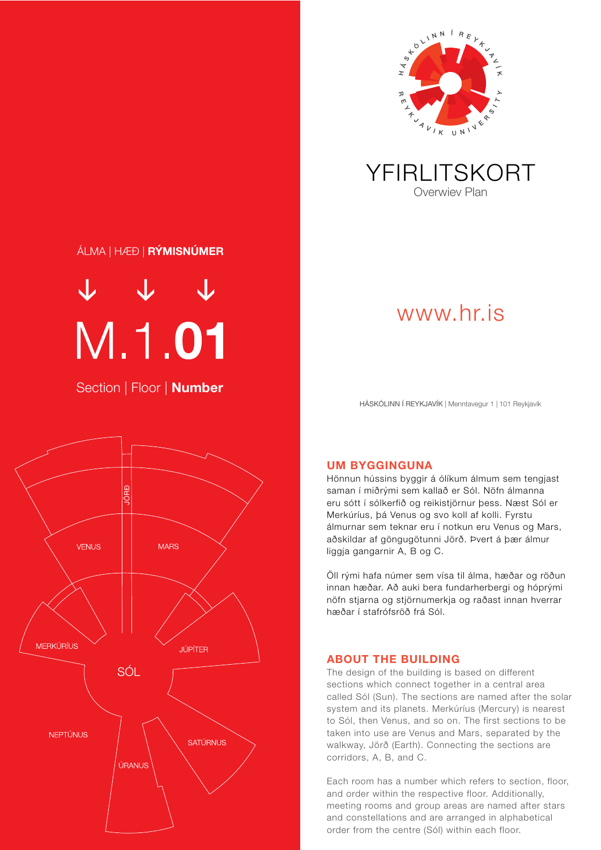

YFIRLITSKORT Overwiev Plan

## ÁLMA | HÆÐ | RÝMISNÚMER

 $V V V$ 

Section | Floor | **Number** 



www.hr.is

HÁSKÓLINN Í REYKJAVÍK | Menntavegur 1 | 101 Reykjavík



UM BYGGINGUNA

Hönnun hússins byggir á ólíkum álmum sem tengjast saman í miðrými sem kallað er Sól. Nöfn álmanna eru sótt í sólkerfið og reikistjörnur þess. Næst Sól er Merkúríus, þá Venus og svo koll af kolli. Fyrstu álmurnar sem teknar eru í notkun eru Venus og Mars, aðskildar af göngugötunni Jörð. Þvert á þær álmur liggja gangarnir A, B og C.

Öll rými hafa númer sem vísa til álma, hæðar og röðun innan hæðar. Að auki bera fundarherbergi og hóprými nöfn stjarna og stjörnumerkja og raðast innan hverrar hæðar í stafrófsröð frá Sól.

## ABOUT THE BUILDING

The design of the building is based on different sections which connect together in a central area called Sól (Sun). The sections are named after the solar system and its planets. Merkúríus (Mercury) is nearest to Sól, then Venus, and so on. The first sections to be taken into use are Venus and Mars, separated by the walkway, Jörð (Earth). Connecting the sections are corridors, A, B, and C.

Each room has a number which refers to section, floor, and order within the respective floor. Additionally, meeting rooms and group areas are named after stars and constellations and are arranged in alphabetical order from the centre (Sól) within each floor.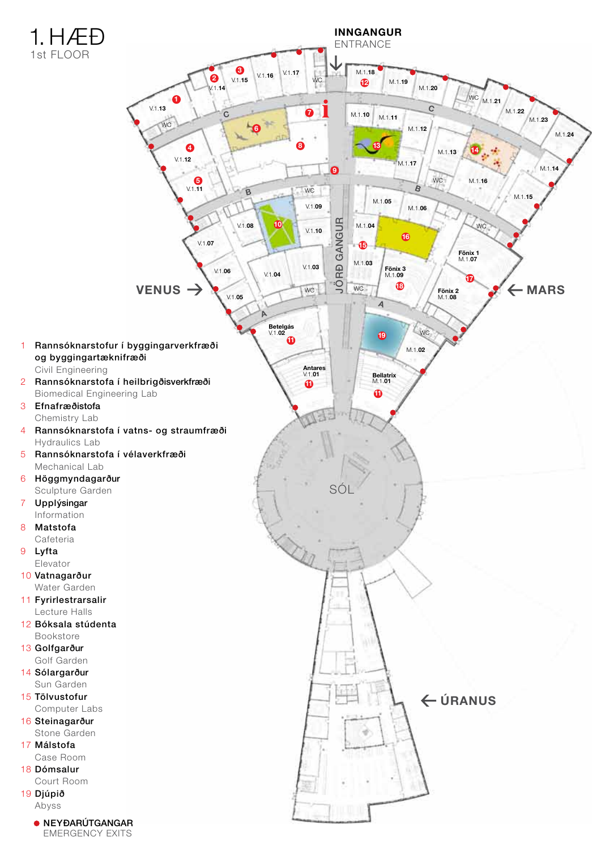

9 Lyfta

Abyss

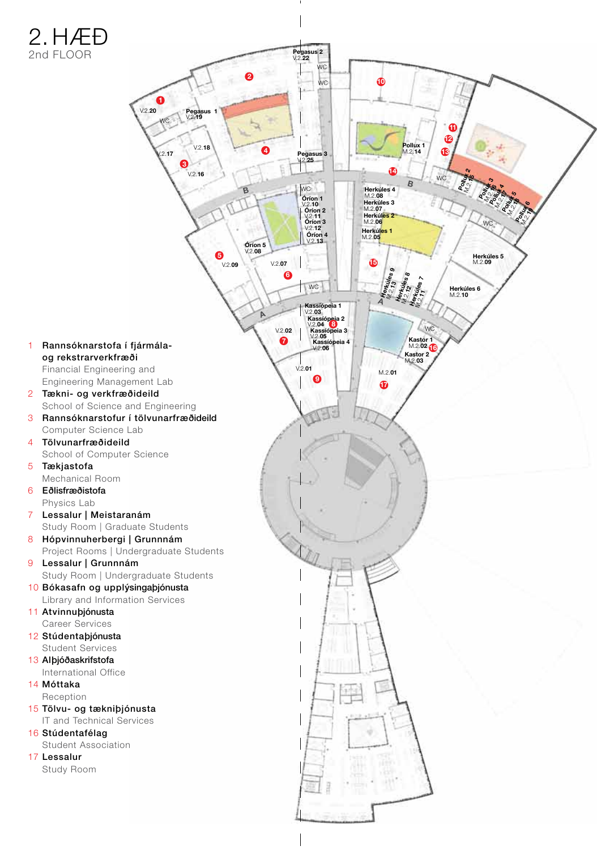## 2. HÆÐ 2nd FLOOR